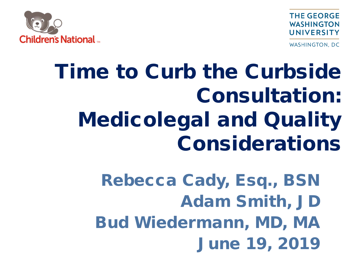**THE GEORGE WASHINGTON** UNIVERSITY



**WASHINGTON, DC** 

## Time to Curb the Curbside Consultation: Medicolegal and Quality Considerations

Rebecca Cady, Esq., BSN Adam Smith, JD Bud Wiedermann, MD, MA June 19, 2019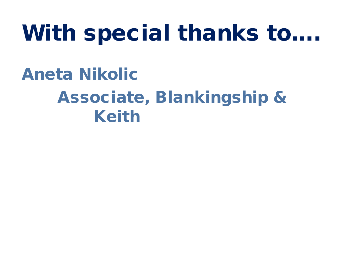## With special thanks to….

Aneta Nikolic Associate, Blankingship & Keith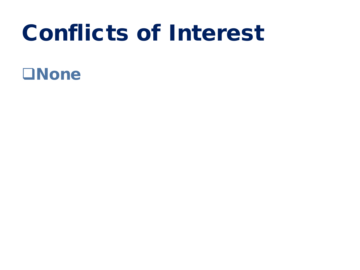## Conflicts of Interest

- **ONone** 
	-
	-
	-
	-
	- -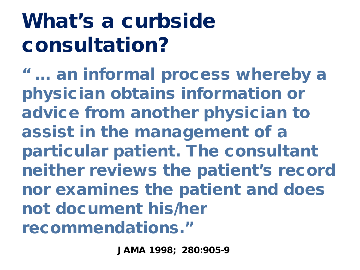## What's a curbside consultation?

" … an informal process whereby a physician obtains information or advice from another physician to assist in the management of a particular patient. The consultant neither reviews the patient's record nor examines the patient and does not document his/her recommendations."

JAMA 1998; 280:905-9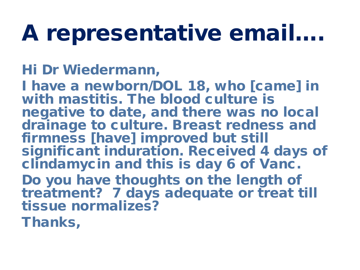## A representative email….

#### Hi Dr Wiedermann,

I have a newborn/DOL 18, who [came] in with mastitis. The blood culture is negative to date, and there was no local drainage to culture. Breast redness and firmness [have] improved but still significant induration. Received 4 days of clindamycin and this is day 6 of Vanc.

Do you have thoughts on the length of treatment? 7 days adequate or treat till tissue normalizes?

Thanks,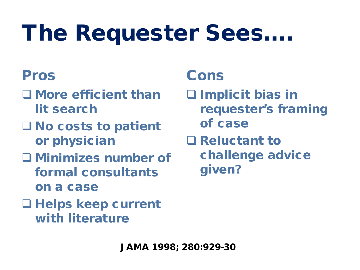# The Requester Sees….

#### Pros

- More efficient than lit search
- $\square$  No costs to patient or physician
- Minimizes number of formal consultants on a case
- Helps keep current with literature

#### Cons

- □ Implicit bias in requester's framing of case **Q** Reluctant to
	- challenge advice given?

JAMA 1998; 280:929-30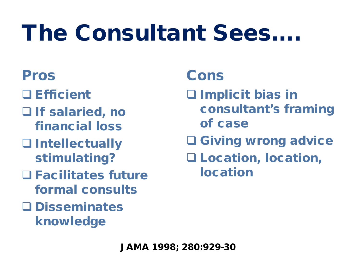# The Consultant Sees….

#### Pros

- □ Efficient
- □ If salaried, no financial loss
- Intellectually stimulating?
- Facilitates future formal consults
- Disseminates knowledge

#### Cons

□ Implicit bias in consultant's framing of case □ Giving wrong advice Location, location, location

JAMA 1998; 280:929-30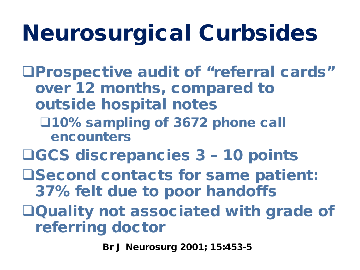# Neurosurgical Curbsides

- Prospective audit of "referral cards" over 12 months, compared to outside hospital notes
	- 10% sampling of 3672 phone call encounters
- GCS discrepancies 3 10 points
- **OSecond contacts for same patient:** 37% felt due to poor handoffs
- Quality not associated with grade of referring doctor

Br J Neurosurg 2001; 15:453-5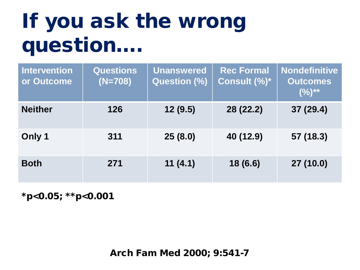## If you ask the wrong question….

| <b>Intervention</b><br>or Outcome | <b>Questions</b><br>$(N=708)$ | <b>Unanswered</b><br><b>Question (%)</b> | <b>Rec Formal</b><br>Consult (%)* | <b>Nondefinitive</b><br><b>Outcomes</b><br>$(%)^{**}$ |
|-----------------------------------|-------------------------------|------------------------------------------|-----------------------------------|-------------------------------------------------------|
| <b>Neither</b>                    | 126                           | 12(9.5)                                  | 28 (22.2)                         | 37(29.4)                                              |
| Only 1                            | 311                           | 25(8.0)                                  | 40 (12.9)                         | 57 (18.3)                                             |
| <b>Both</b>                       | 271                           | 11(4.1)                                  | 18 (6.6)                          | 27 (10.0)                                             |

\*p<0.05; \*\*p<0.001

Arch Fam Med 2000; 9:541-7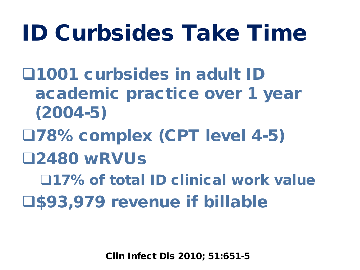## ID Curbsides Take Time

1001 curbsides in adult ID academic practice over 1 year (2004-5)

- 78% complex (CPT level 4-5)
- 2480 wRVUs

17% of total ID clinical work value

**U\$93,979 revenue if billable** 

Clin Infect Dis 2010; 51:651-5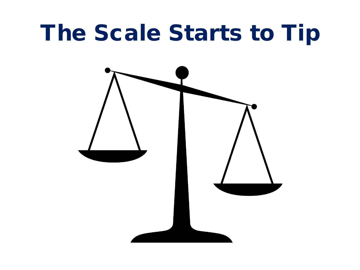## The Scale Starts to Tip

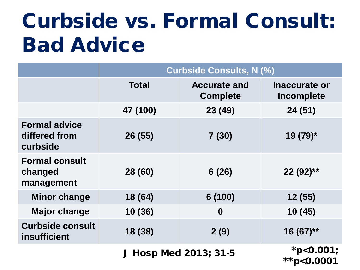## Curbside vs. Formal Consult: Bad Advice

|                                                           | <b>Curbside Consults, N (%)</b> |                                        |                             |  |  |  |
|-----------------------------------------------------------|---------------------------------|----------------------------------------|-----------------------------|--|--|--|
|                                                           | <b>Total</b>                    | <b>Accurate and</b><br><b>Complete</b> | Inaccurate or<br>Incomplete |  |  |  |
|                                                           | 47 (100)                        | 23 (49)                                | 24 (51)                     |  |  |  |
| <b>Formal advice</b><br>differed from<br>curbside         | 26 (55)                         | 7(30)                                  | 19 (79)*                    |  |  |  |
| <b>Formal consult</b><br>28 (60)<br>changed<br>management |                                 | 6(26)                                  | 22 (92)**                   |  |  |  |
| <b>Minor change</b><br>18 (64)                            |                                 | 6 (100)                                | 12 (55)                     |  |  |  |
| <b>Major change</b>                                       | 10 (36)                         | $\boldsymbol{0}$                       | 10(45)                      |  |  |  |
| <b>Curbside consult</b><br><b>insufficient</b>            | 18 (38)                         | 2(9)                                   | $16(67)$ **                 |  |  |  |
|                                                           | J Hosp Med 2013; 31-5           | *p<0.001;<br>**p<0.0001                |                             |  |  |  |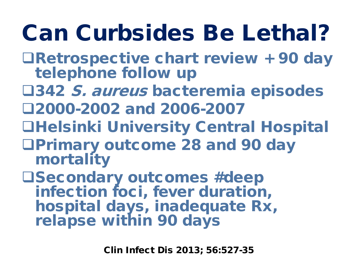# Can Curbsides Be Lethal?

- Retrospective chart review + 90 day telephone follow up
- **□342 S. aureus bacteremia episodes** 2000-2002 and 2006-2007
- **QHelsinki University Central Hospital**
- Primary outcome 28 and 90 day mortality

Secondary outcomes #deep infection foci, fever duration, hospital days, inadequate Rx, relapse within 90 days

Clin Infect Dis 2013; 56:527-35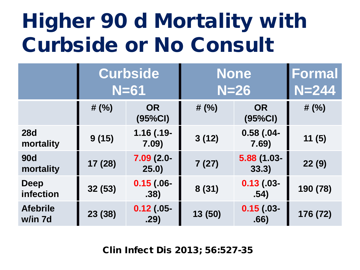## Higher 90 d Mortality with Curbside or No Consult

|                            | <b>Curbside</b><br>$N=61$ |                       | <b>None</b><br>$N=26$ |                        | <b>Formal</b><br>$N = 244$ |
|----------------------------|---------------------------|-----------------------|-----------------------|------------------------|----------------------------|
|                            | # $(%)$                   | <b>OR</b><br>(95%CI)  | # $(%)$               | <b>OR</b><br>(95%CI)   | # $(% )$                   |
| <b>28d</b><br>mortality    | 9(15)                     | $1.16$ (.19-<br>7.09) | 3(12)                 | $0.58$ (.04-<br>7.69)  | 11(5)                      |
| <b>90d</b><br>mortality    | 17 (28)                   | $7.09(2.0 -$<br>25.0) | 7(27)                 | $5.88(1.03 -$<br>33.3) | 22(9)                      |
| Deep<br>infection          | 32(53)                    | $0.15$ (.06-<br>.38)  | 8(31)                 | $0.13$ (.03-<br>.54)   | 190 (78)                   |
| <b>Afebrile</b><br>w/in 7d | 23 (38)                   | $0.12$ (.05-<br>.29)  | 13 (50)               | $0.15$ (.03-<br>.66)   | 176 (72)                   |

Clin Infect Dis 2013; 56:527-35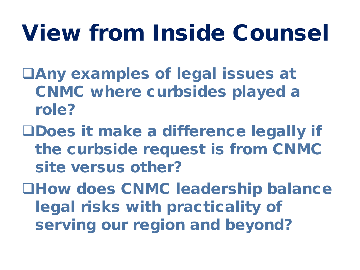# View from Inside Counsel

- Any examples of legal issues at CNMC where curbsides played a role?
- Does it make a difference legally if the curbside request is from CNMC site versus other?
- **QHow does CNMC leadership balance** legal risks with practicality of serving our region and beyond?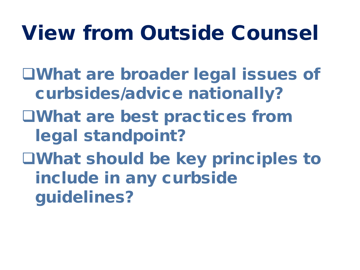## View from Outside Counsel

What are broader legal issues of curbsides/advice nationally?

- What are best practices from legal standpoint?
- What should be key principles to include in any curbside guidelines?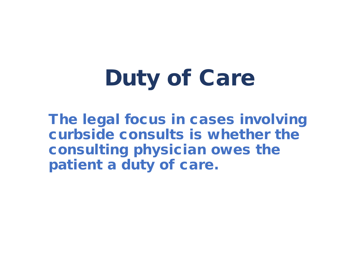# Duty of Care

The legal focus in cases involving curbside consults is whether the consulting physician owes the patient a duty of care.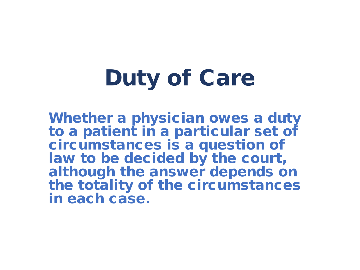# Duty of Care

Whether a physician owes a duty to a patient in a particular set of circumstances is a question of law to be decided by the court, although the answer depends on the totality of the circumstances in each case.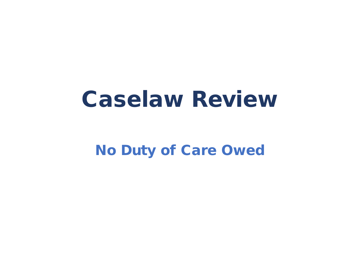## Caselaw Review

#### No Duty of Care Owed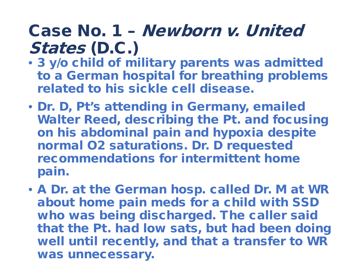- 3 y/o child of military parents was admitted to a German hospital for breathing problems related to his sickle cell disease.
- Dr. D, Pt's attending in Germany, emailed Walter Reed, describing the Pt. and focusing on his abdominal pain and hypoxia despite normal O2 saturations. Dr. D requested recommendations for intermittent home pain.
- A Dr. at the German hosp. called Dr. M at WR about home pain meds for a child with SSD who was being discharged. The caller said that the Pt. had low sats, but had been doing well until recently, and that a transfer to WR was unnecessary.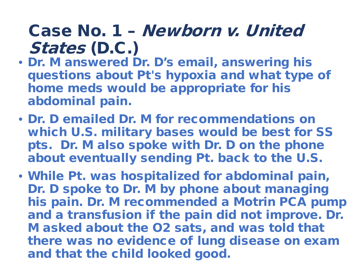- Dr. M answered Dr. D's email, answering his questions about Pt's hypoxia and what type of home meds would be appropriate for his abdominal pain.
- Dr. D emailed Dr. M for recommendations on which U.S. military bases would be best for SS pts. Dr. M also spoke with Dr. D on the phone about eventually sending Pt. back to the U.S.
- While Pt. was hospitalized for abdominal pain, Dr. D spoke to Dr. M by phone about managing his pain. Dr. M recommended a Motrin PCA pump and a transfusion if the pain did not improve. Dr. M asked about the O2 sats, and was told that there was no evidence of lung disease on exam and that the child looked good.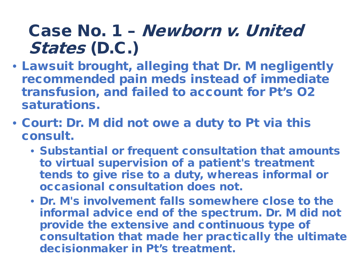- Lawsuit brought, alleging that Dr. M negligently recommended pain meds instead of immediate transfusion, and failed to account for Pt's O2 saturations.
- Court: Dr. M did not owe a duty to Pt via this consult.
	- Substantial or frequent consultation that amounts to virtual supervision of a patient's treatment tends to give rise to a duty, whereas informal or occasional consultation does not.
	- Dr. M's involvement falls somewhere close to the informal advice end of the spectrum. Dr. M did not provide the extensive and continuous type of consultation that made her practically the ultimate decisionmaker in Pt's treatment.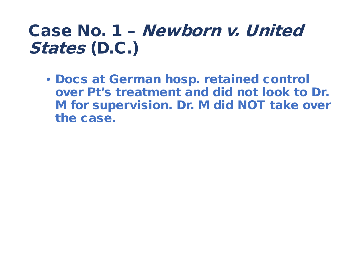• Docs at German hosp. retained control over Pt's treatment and did not look to Dr. M for supervision. Dr. M did NOT take over the case.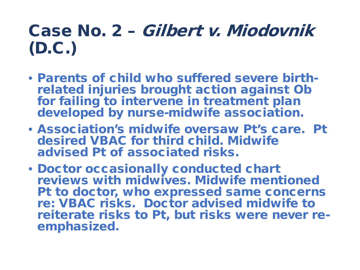- Parents of child who suffered severe birth- related injuries brought action against Ob for failing to intervene in treatment plan developed by nurse-midwife association.
- Association's midwife oversaw Pt's care. Pt desired VBAC for third child. Midwife advised Pt of associated risks.
- Doctor occasionally conducted chart reviews with midwives. Midwife mentioned Pt to doctor, who expressed same concerns re: VBAC risks. Doctor advised midwife to reiterate risks to Pt, but risks were never re- emphasized.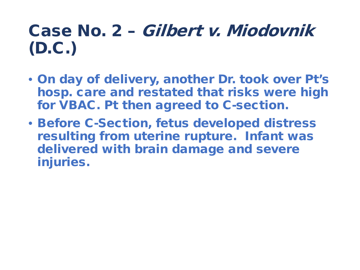- On day of delivery, another Dr. took over Pt's hosp. care and restated that risks were high for VBAC. Pt then agreed to C-section.
- Before C-Section, fetus developed distress resulting from uterine rupture. Infant was delivered with brain damage and severe injuries.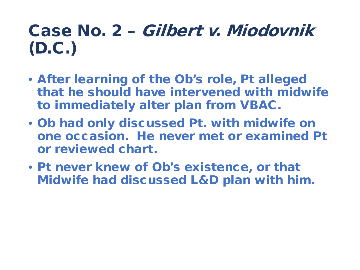- After learning of the Ob's role, Pt alleged that he should have intervened with midwife to immediately alter plan from VBAC.
- Ob had only discussed Pt. with midwife on one occasion. He never met or examined Pt or reviewed chart.
- Pt never knew of Ob's existence, or that Midwife had discussed L&D plan with him.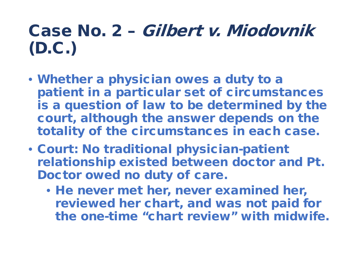- Whether a physician owes a duty to a patient in a particular set of circumstances is a question of law to be determined by the court, although the answer depends on the totality of the circumstances in each case.
- Court: No traditional physician-patient relationship existed between doctor and Pt. Doctor owed no duty of care.
	- He never met her, never examined her, reviewed her chart, and was not paid for the one-time "chart review" with midwife.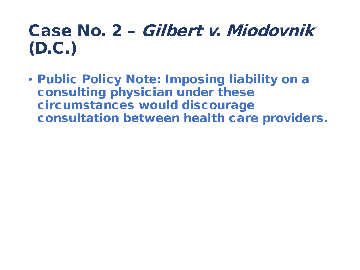• Public Policy Note: Imposing liability on a consulting physician under these circumstances would discourage consultation between health care providers.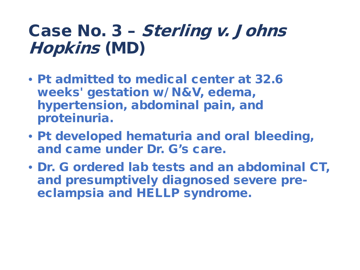- Pt admitted to medical center at 32.6 weeks' gestation w/ N&V, edema, hypertension, abdominal pain, and proteinuria.
- Pt developed hematuria and oral bleeding, and came under Dr. G's care.
- Dr. G ordered lab tests and an abdominal CT, and presumptively diagnosed severe preeclampsia and HELLP syndrome.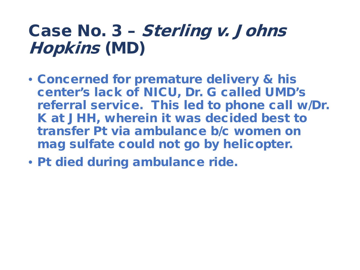- Concerned for premature delivery & his center's lack of NICU, Dr. G called UMD's referral service. This led to phone call w/Dr. K at JHH, wherein it was decided best to transfer Pt via ambulance b/c women on mag sulfate could not go by helicopter.
- Pt died during ambulance ride.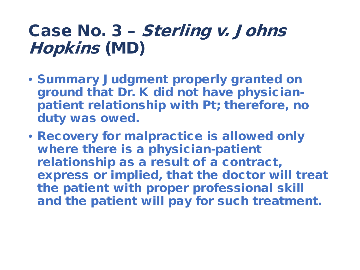- Summary Judgment properly granted on ground that Dr. K did not have physicianpatient relationship with Pt; therefore, no duty was owed.
- Recovery for malpractice is allowed only where there is a physician-patient relationship as a result of a contract, express or implied, that the doctor will treat the patient with proper professional skill and the patient will pay for such treatment.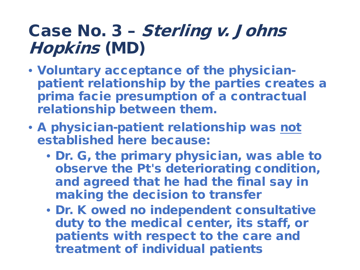- Voluntary acceptance of the physicianpatient relationship by the parties creates a prima facie presumption of a contractual relationship between them.
- A physician-patient relationship was not established here because:
	- Dr. G, the primary physician, was able to observe the Pt's deteriorating condition, and agreed that he had the final say in making the decision to transfer
	- Dr. K owed no independent consultative duty to the medical center, its staff, or patients with respect to the care and treatment of individual patients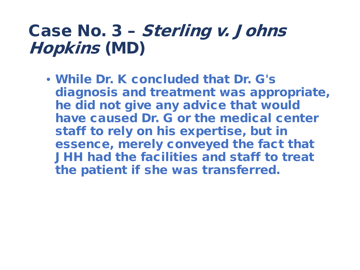• While Dr. K concluded that Dr. G's diagnosis and treatment was appropriate, he did not give any advice that would have caused Dr. G or the medical center staff to rely on his expertise, but in essence, merely conveyed the fact that JHH had the facilities and staff to treat the patient if she was transferred.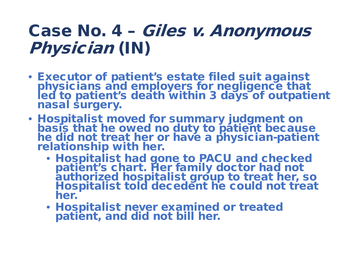#### Case No. 4 – Giles v. Anonymous Physician (IN)

- Executor of patient's estate filed suit against physicians and employers for negligence that led to patient's death within 3 days of outpatient nasal surgery.
- Hospitalist moved for summary judgment on basis that he owed no duty to patient because he did not treat her or have a physician-patient<br>relationship with her.
	- Hospitalist had gone to PACU and checked patient's chart. Her family doctor had not authorized hospitalist group to treat her, so Hospitalist told decedent he could not treat her.
	- Hospitalist never examined or treated patient, and did not bill her.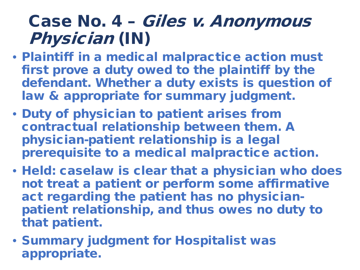#### Case No. 4 – Giles v. Anonymous Physician (IN)

- Plaintiff in a medical malpractice action must first prove a duty owed to the plaintiff by the defendant. Whether a duty exists is question of law & appropriate for summary judgment.
- Duty of physician to patient arises from contractual relationship between them. A physician-patient relationship is a legal prerequisite to a medical malpractice action.
- Held: caselaw is clear that a physician who does not treat a patient or perform some affirmative act regarding the patient has no physicianpatient relationship, and thus owes no duty to that patient.
- Summary judgment for Hospitalist was appropriate.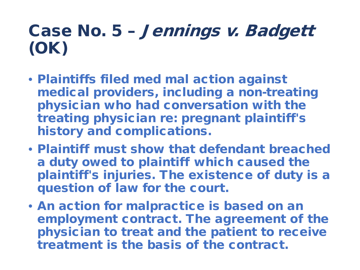### Case No. 5 – Jennings v. Badgett (OK)

- Plaintiffs filed med mal action against medical providers, including a non-treating physician who had conversation with the treating physician re: pregnant plaintiff's history and complications.
- Plaintiff must show that defendant breached a duty owed to plaintiff which caused the plaintiff's injuries. The existence of duty is a question of law for the court.
- An action for malpractice is based on an employment contract. The agreement of the physician to treat and the patient to receive treatment is the basis of the contract.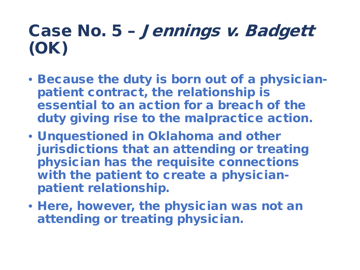### Case No. 5 – Jennings v. Badgett (OK)

- Because the duty is born out of a physicianpatient contract, the relationship is essential to an action for a breach of the duty giving rise to the malpractice action.
- Unquestioned in Oklahoma and other jurisdictions that an attending or treating physician has the requisite connections with the patient to create a physicianpatient relationship.
- Here, however, the physician was not an attending or treating physician.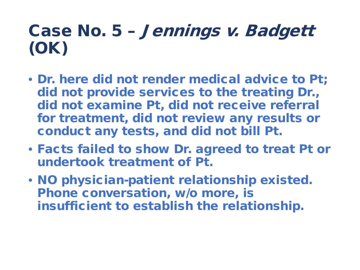### Case No. 5 – Jennings v. Badgett (OK)

- Dr. here did not render medical advice to Pt; did not provide services to the treating Dr., did not examine Pt, did not receive referral for treatment, did not review any results or conduct any tests, and did not bill Pt.
- Facts failed to show Dr. agreed to treat Pt or undertook treatment of Pt.
- NO physician-patient relationship existed. Phone conversation, w/o more, is insufficient to establish the relationship.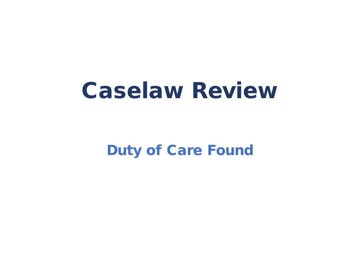## Caselaw Review

Duty of Care Found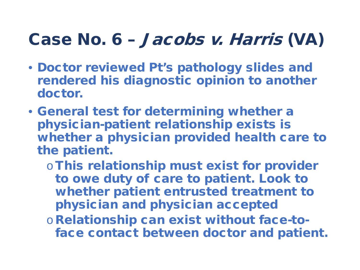#### Case No. 6 – Jacobs v. Harris (VA)

- Doctor reviewed Pt's pathology slides and rendered his diagnostic opinion to another doctor.
- General test for determining whether a physician-patient relationship exists is whether a physician provided health care to the patient.
	- o This relationship must exist for provider to owe duty of care to patient. Look to whether patient entrusted treatment to physician and physician accepted
	- oRelationship can exist without face-toface contact between doctor and patient.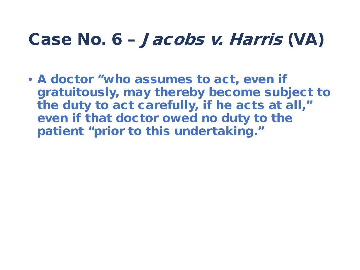#### Case No. 6 – Jacobs v. Harris (VA)

• A doctor "who assumes to act, even if gratuitously, may thereby become subject to the duty to act carefully, if he acts at all," even if that doctor owed no duty to the patient "prior to this undertaking."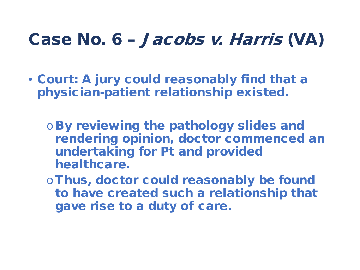#### Case No. 6 – Jacobs v. Harris (VA)

- Court: A jury could reasonably find that a physician-patient relationship existed.
	- oBy reviewing the pathology slides and rendering opinion, doctor commenced an undertaking for Pt and provided healthcare.
	- o Thus, doctor could reasonably be found to have created such a relationship that gave rise to a duty of care.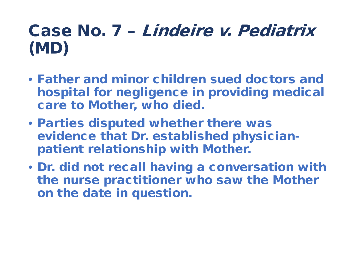### Case No. 7 – Lindeire v. Pediatrix (MD)

- Father and minor children sued doctors and hospital for negligence in providing medical care to Mother, who died.
- Parties disputed whether there was evidence that Dr. established physicianpatient relationship with Mother.
- Dr. did not recall having a conversation with the nurse practitioner who saw the Mother on the date in question.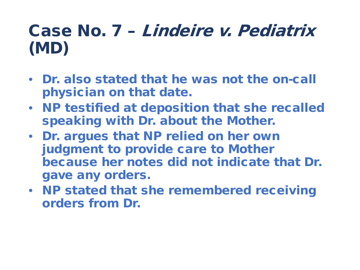### Case No. 7 – Lindeire v. Pediatrix (MD)

- Dr. also stated that he was not the on-call physician on that date.
- NP testified at deposition that she recalled speaking with Dr. about the Mother.
- Dr. argues that NP relied on her own judgment to provide care to Mother because her notes did not indicate that Dr. gave any orders.
- NP stated that she remembered receiving orders from Dr.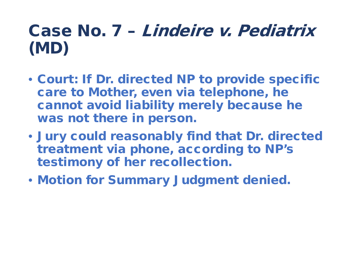### Case No. 7 – Lindeire v. Pediatrix (MD)

- Court: If Dr. directed NP to provide specific care to Mother, even via telephone, he cannot avoid liability merely because he was not there in person.
- Jury could reasonably find that Dr. directed treatment via phone, according to NP's testimony of her recollection.
- Motion for Summary Judgment denied.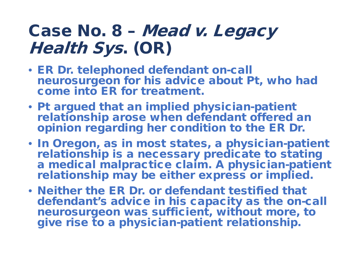#### Case No. 8 – Mead v. Legacy Health Sys. (OR)

- ER Dr. telephoned defendant on-call neurosurgeon for his advice about Pt, who had come into ER for treatment.
- Pt argued that an implied physician-patient relationship arose when defendant offered an opinion regarding her condition to the ER Dr.
- In Oregon, as in most states, a physician-patient relationship is a necessary predicate to stating a medical malpractice claim. A physician-patient relationship may be either express or implied.
- Neither the ER Dr. or defendant testified that defendant's advice in his capacity as the on-call neurosurgeon was sufficient, without more, to give rise to a physician-patient relationship.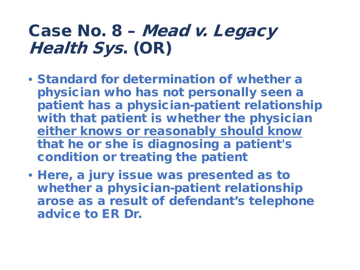#### Case No. 8 – Mead v. Legacy Health Sys. (OR)

- Standard for determination of whether a physician who has not personally seen a patient has a physician-patient relationship with that patient is whether the physician either knows or reasonably should know that he or she is diagnosing a patient's condition or treating the patient
- Here, a jury issue was presented as to whether a physician-patient relationship arose as a result of defendant's telephone advice to ER Dr.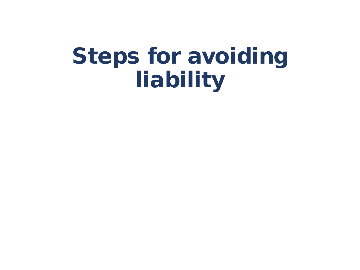## Steps for avoiding liability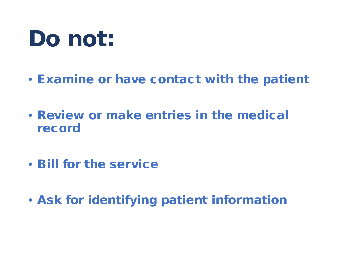## Do not:

- Examine or have contact with the patient
- Review or make entries in the medical record
- Bill for the service
- Ask for identifying patient information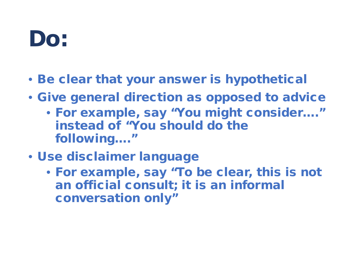## Do:

- Be clear that your answer is hypothetical
- Give general direction as opposed to advice
	- For example, say "You might consider…." instead of "You should do the following…."
- Use disclaimer language
	- For example, say "To be clear, this is not an official consult; it is an informal conversation only"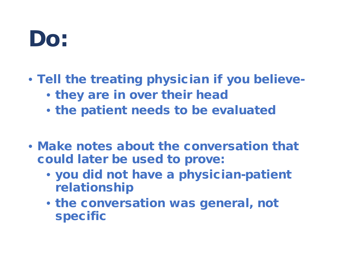## Do:

- Tell the treating physician if you believe-
	- they are in over their head
	- the patient needs to be evaluated
- Make notes about the conversation that could later be used to prove:
	- you did not have a physician-patient relationship
	- the conversation was general, not specific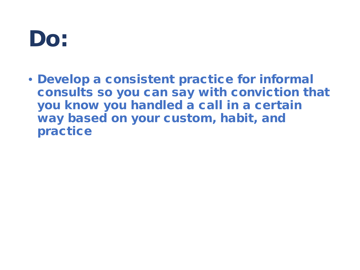### Do:

• Develop a consistent practice for informal consults so you can say with conviction that you know you handled a call in a certain way based on your custom, habit, and practice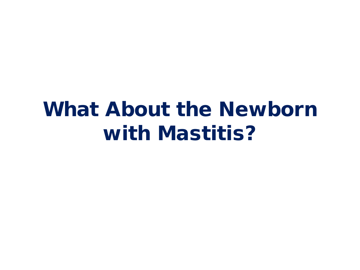### What About the Newborn with Mastitis?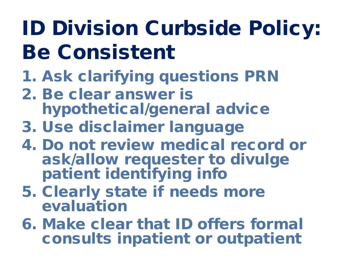## ID Division Curbside Policy: Be Consistent

- 1. Ask clarifying questions PRN
- 2. Be clear answer is hypothetical/general advice
- 3. Use disclaimer language
- 4. Do not review medical record or ask/allow requester to divulge patient identifying info
- 5. Clearly state if needs more evaluation
- 6. Make clear that ID offers formal consults inpatient or outpatient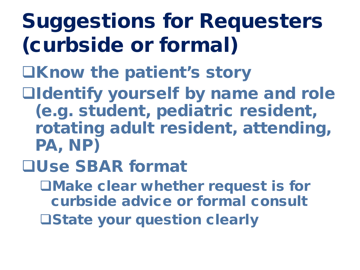## Suggestions for Requesters (curbside or formal)

- **OKnow the patient's story**
- Identify yourself by name and role (e.g. student, pediatric resident, rotating adult resident, attending, PA, NP)
- Use SBAR format
	- Make clear whether request is for curbside advice or formal consult State your question clearly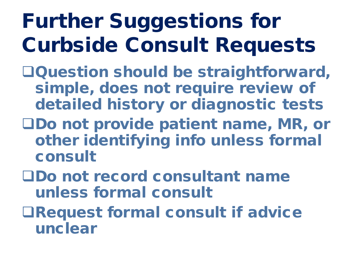## Further Suggestions for Curbside Consult Requests

- Question should be straightforward, simple, does not require review of detailed history or diagnostic tests
- Do not provide patient name, MR, or other identifying info unless formal consult
- Do not record consultant name unless formal consult
- Request formal consult if advice unclear